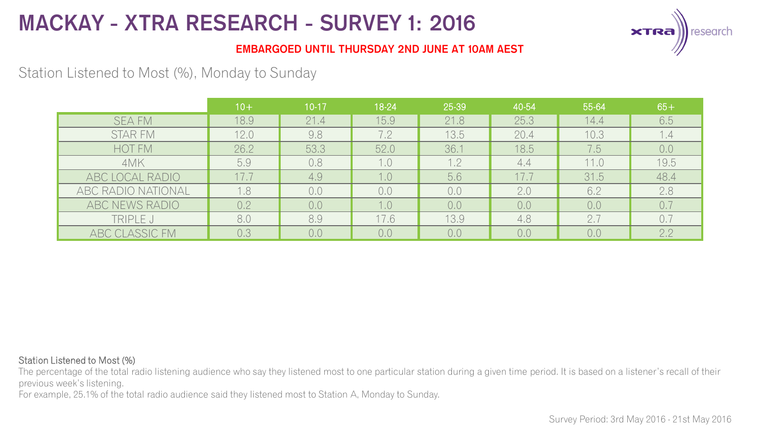

### **EMBARGOED UNTIL THURSDAY 2ND JUNE AT 10AM AEST**

## Station Listened to Most (%), Monday to Sunday

|                    | $10+$ | $10 - 17$ | 18-24 | 25-39 | 40-54 | 55-64 | $65+$ |
|--------------------|-------|-----------|-------|-------|-------|-------|-------|
| <b>SEA FM</b>      | 18.9  | 21.4      | 15.9  | 21.8  | 25.3  | 14.4  | 6.5   |
| <b>STAR FM</b>     | 12.0  | 9.8       | 7.2   | 13.5  | 20.4  | 10.3  | 1.4   |
| HOT FM             | 26.2  | 53.3      | 52.0  | 36.1  | 18.5  | 7.5   | 0.0   |
| 4MK                | 5.9   | 0.8       | 1.0   | 1.2   | 4.4   | 11.0  | 19.5  |
| ABC LOCAL RADIO    | 17.7  | 4.9       | 1.0   | 5.6   | 17.7  | 31.5  | 48.4  |
| ABC RADIO NATIONAL | 1.8   | 0,0       | 0,0   | 0.0   | 2.0   | 6.2   | 2.8   |
| ABC NEWS RADIO     | 0.2   | 0,0       | 1.0   | 0,0   | 0.0   | 0,0   | 0.7   |
| TRIPLE J           | 8,0   | 8.9       | 17.6  | 13.9  | 4.8   | 2.7   | 0.7   |
| ABC CLASSIC FM     | 0.3   | 0,0       | 0,0   | 0.0   | 0,0   | 0.0   | 2.2   |

#### Station Listened to Most (%)

The percentage of the total radio listening audience who say they listened most to one particular station during a given time period. It is based on a listener's recall of their previous week's listening.

For example, 25.1% of the total radio audience said they listened most to Station A, Monday to Sunday.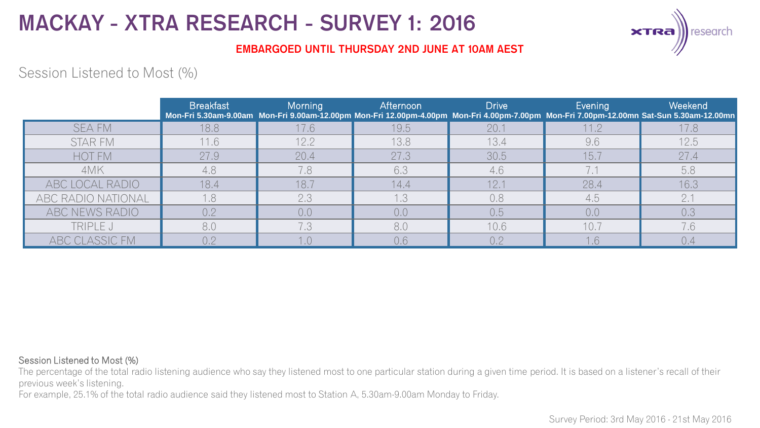

### **EMBARGOED UNTIL THURSDAY 2ND JUNE AT 10AM AEST**

## Session Listened to Most (%)

|                    | <b>Breakfast</b> | Morning | Afternoon | <b>Drive</b> | Evening | Weekend<br>Mon-Fri 5.30am-9.00am Mon-Fri 9.00am-12.00pm Mon-Fri 12.00pm-4.00pm Mon-Fri 4.00pm-7.00pm Mon-Fri 7.00pm-12.00mn Sat-Sun 5.30am-12.00mn |
|--------------------|------------------|---------|-----------|--------------|---------|----------------------------------------------------------------------------------------------------------------------------------------------------|
| <b>SEA FM</b>      | 18.8             | 17.6    | 19.5      | 20.1         | 11.2    | 17.8                                                                                                                                               |
| STAR FM            | 11.6             | 12.2    | 13.8      | 13.4         | 9,6     | 12.5                                                                                                                                               |
| HOT FM             | 27.9             | 20.4    | 27.3      | 30.5         | 15.7    | 27.4                                                                                                                                               |
| 4MK                | 4.8              | 7.8     | 6,3       | 4,6          |         | 5.8                                                                                                                                                |
| ABC LOCAL RADIO    | 18.4             | 18.7    | 14.4      | 12.7         | 28.4    | 16.3                                                                                                                                               |
| ABC RADIO NATIONAL | 1.8              | 2.3     | 1.3       | 0.8          | 4,5     | 2.1                                                                                                                                                |
| ABC NEWS RADIO     | 0.2              | 0,0     | 0.0       | 0.5          | 0.0     | 0.3                                                                                                                                                |
| TRIPLE J           | 8.0              | 7.3     | 8.0       | 10.6         | 10.7    | 7.6                                                                                                                                                |
| ABC CLASSIC FM     | ∩ ೧              |         | 0,6       | 0.2          | .6      | 0.4                                                                                                                                                |

#### Session Listened to Most (%)

The percentage of the total radio listening audience who say they listened most to one particular station during a given time period. It is based on a listener's recall of their previous week's listening.

For example, 25.1% of the total radio audience said they listened most to Station A, 5.30am-9.00am Monday to Friday.

Survey Period: 3rd May 2016 - 21st May 2016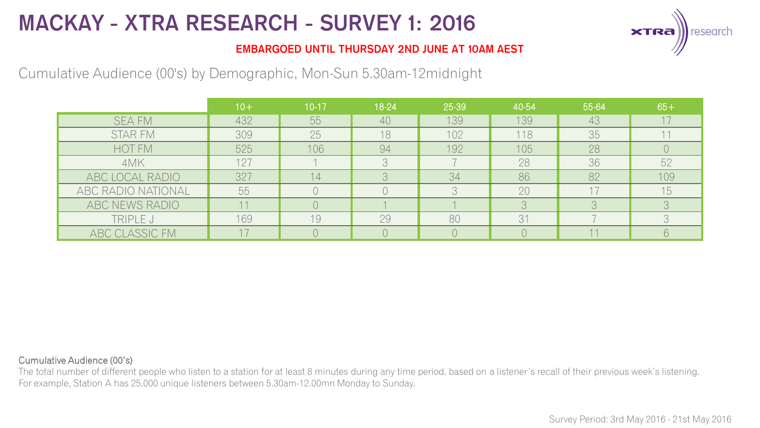

### **EMBARGOED UNTIL THURSDAY 2ND JUNE AT 10AM AEST**

## Cumulative Audience (00's) by Demographic, Mon-Sun 5.30am-12midnight

|                    | $10 +$ | $10 - 17$ | 18-24 | 25-39 | 40-54 | 55-64 | $65+$                  |
|--------------------|--------|-----------|-------|-------|-------|-------|------------------------|
| <b>SEA FM</b>      | 432    | 55        | 40    | 139   | 139   | 43    |                        |
| <b>STAR FM</b>     | 309    | 25        | 18    | 102   | 118   | 35    |                        |
| <b>HOT FM</b>      | 525    | 106       | 94    | 192   | 105   | 28    |                        |
| 4MK                | 127    |           | 3     |       | 28    | 36    | 52                     |
| ABC LOCAL RADIO    | 327    | 14.       |       | 34    | 86    | 82    | 109                    |
| ABC RADIO NATIONAL | 55     |           |       | R     | 20    |       | 15                     |
| ABC NEWS RADIO     |        |           |       |       |       |       | $\supset$              |
| TRIPLE J           | 169    | 19        | 29    | 80    | 31    |       | $\cap$<br>$\mathbf{L}$ |
| ABC CLASSIC FM     |        |           |       |       |       |       | 6                      |

#### Cumulative Audience (00's)

The total number of different people who listen to a station for at least 8 minutes during any time period, based on a listener's recall of their previous week's listening. For example, Station A has 25,000 unique listeners between 5.30am-12.00mn Monday to Sunday.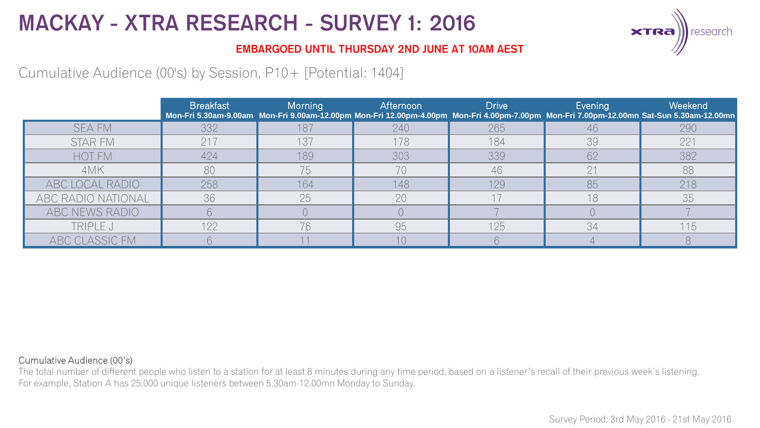

### **EMBARGOED UNTIL THURSDAY 2ND JUNE AT 10AM AEST**

## Cumulative Audience (00's) by Session, P10+ [Potential: 1404]

|                    | <b>Breakfast</b> | <b>Morning</b> | Afternoon | <b>Drive</b> | Evening     | Weekend<br>Mon-Fri 5.30am-9.00am Mon-Fri 9.00am-12.00pm Mon-Fri 12.00pm-4.00pm Mon-Fri 4.00pm-7.00pm Mon-Fri 7.00pm-12.00mn Sat-Sun 5.30am-12.00mn |
|--------------------|------------------|----------------|-----------|--------------|-------------|----------------------------------------------------------------------------------------------------------------------------------------------------|
| <b>SEA FM</b>      | 332              | 187            | 240       | 265          | 46          | 290                                                                                                                                                |
| STAR FM            | 217              | 137            | 178       | 184          | 39          | 221                                                                                                                                                |
| <b>HOT FM</b>      | 424              | 189            | 303       | 339          | 62          | 382                                                                                                                                                |
| 4MK                | 80               | 75             | 70        | 46           | $\bigcap$ 1 | 88                                                                                                                                                 |
| ABC LOCAL RADIO    | 258              | 164            | 148       | 129          | 85          | 218                                                                                                                                                |
| ABC RADIO NATIONAL | 36               | 25             | 20        |              | 18          | 35                                                                                                                                                 |
| ABC NEWS RADIO     |                  |                |           |              |             |                                                                                                                                                    |
| TRIPLE J           | 122              | 76             | 95        | 125          | 34          | 115                                                                                                                                                |
| ABC CLASSIC FM     |                  |                |           |              |             |                                                                                                                                                    |

#### Cumulative Audience (00's)

The total number of different people who listen to a station for at least 8 minutes during any time period, based on a listener's recall of their previous week's listening. For example, Station A has 25,000 unique listeners between 5.30am-12.00mn Monday to Sunday.